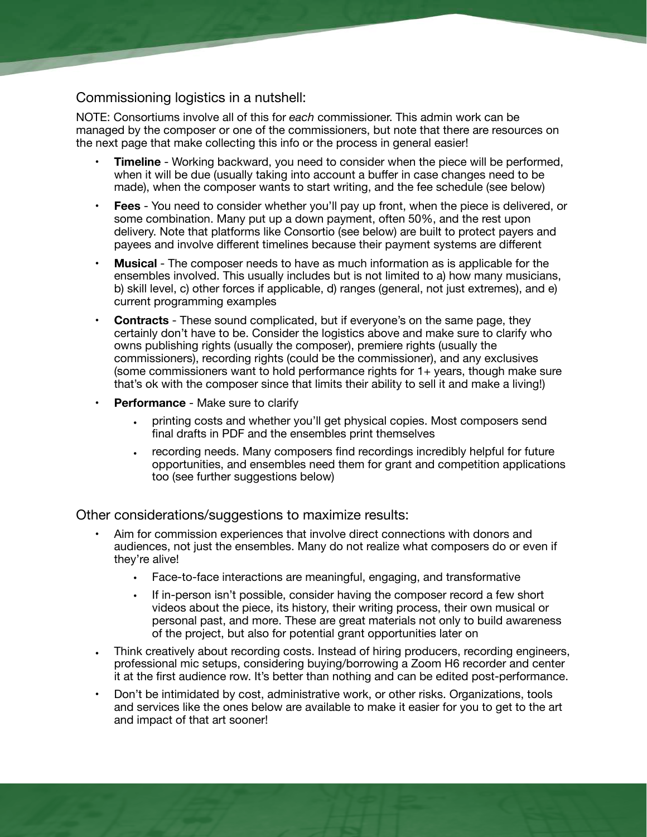## Commissioning logistics in a nutshell:

NOTE: Consortiums involve all of this for *each* commissioner. This admin work can be managed by the composer or one of the commissioners, but note that there are resources on the next page that make collecting this info or the process in general easier!

- **Timeline** Working backward, you need to consider when the piece will be performed, when it will be due (usually taking into account a buffer in case changes need to be made), when the composer wants to start writing, and the fee schedule (see below)
- **Fees** You need to consider whether you'll pay up front, when the piece is delivered, or some combination. Many put up a down payment, often 50%, and the rest upon delivery. Note that platforms like Consortio (see below) are built to protect payers and payees and involve different timelines because their payment systems are different
- **Musical** The composer needs to have as much information as is applicable for the ensembles involved. This usually includes but is not limited to a) how many musicians, b) skill level, c) other forces if applicable, d) ranges (general, not just extremes), and e) current programming examples
- **• Contracts** These sound complicated, but if everyone's on the same page, they certainly don't have to be. Consider the logistics above and make sure to clarify who owns publishing rights (usually the composer), premiere rights (usually the commissioners), recording rights (could be the commissioner), and any exclusives (some commissioners want to hold performance rights for 1+ years, though make sure that's ok with the composer since that limits their ability to sell it and make a living!)
- **• Performance**  Make sure to clarify
	- **•** printing costs and whether you'll get physical copies. Most composers send final drafts in PDF and the ensembles print themselves
	- **•** recording needs. Many composers find recordings incredibly helpful for future opportunities, and ensembles need them for grant and competition applications too (see further suggestions below)

Other considerations/suggestions to maximize results:

- Aim for commission experiences that involve direct connections with donors and audiences, not just the ensembles. Many do not realize what composers do or even if they're alive!
	- Face-to-face interactions are meaningful, engaging, and transformative
	- If in-person isn't possible, consider having the composer record a few short videos about the piece, its history, their writing process, their own musical or personal past, and more. These are great materials not only to build awareness of the project, but also for potential grant opportunities later on
- **•** Think creatively about recording costs. Instead of hiring producers, recording engineers, professional mic setups, considering buying/borrowing a Zoom H6 recorder and center it at the first audience row. It's better than nothing and can be edited post-performance.
- Don't be intimidated by cost, administrative work, or other risks. Organizations, tools and services like the ones below are available to make it easier for you to get to the art and impact of that art sooner!